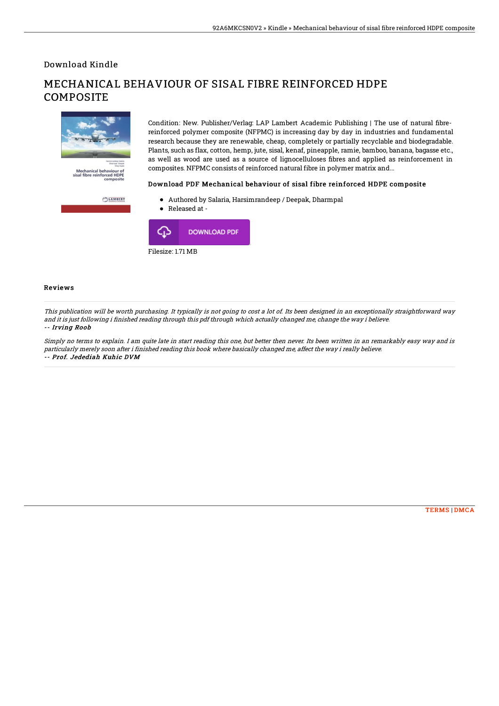Download Kindle

# Mechanical behaviour of<br>sisal fibre reinforced HDPE LAMBERT

## MECHANICAL BEHAVIOUR OF SISAL FIBRE REINFORCED HDPE COMPOSITE

Condition: New. Publisher/Verlag: LAP Lambert Academic Publishing | The use of natural fibrereinforced polymer composite (NFPMC) is increasing day by day in industries and fundamental research because they are renewable, cheap, completely or partially recyclable and biodegradable. Plants, such as flax, cotton, hemp, jute, sisal, kenaf, pineapple, ramie, bamboo, banana, bagasse etc., as well as wood are used as a source of lignocelluloses fibres and applied as reinforcement in composites. NFPMC consists of reinforced natural fibre in polymer matrix and...

#### Download PDF Mechanical behaviour of sisal fibre reinforced HDPE composite

- Authored by Salaria, Harsimrandeep / Deepak, Dharmpal
- Released at -



#### Reviews

This publication will be worth purchasing. It typically is not going to cost <sup>a</sup> lot of. Its been designed in an exceptionally straightforward way and it is just following i finished reading through this pdf through which actually changed me, change the way i believe. -- Irving Roob

Simply no terms to explain. I am quite late in start reading this one, but better then never. Its been written in an remarkably easy way and is particularly merely soon after i finished reading this book where basically changed me, affect the way i really believe. -- Prof. Jedediah Kuhic DVM